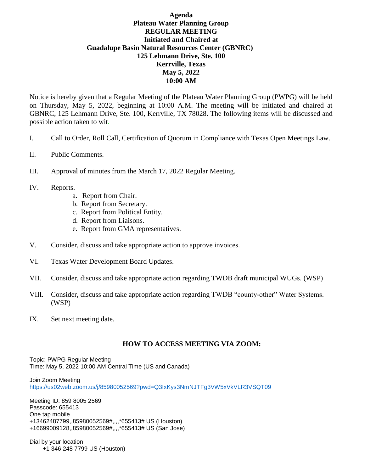## **Agenda Plateau Water Planning Group REGULAR MEETING Initiated and Chaired at Guadalupe Basin Natural Resources Center (GBNRC) 125 Lehmann Drive, Ste. 100 Kerrville, Texas May 5, 2022 10:00 AM**

Notice is hereby given that a Regular Meeting of the Plateau Water Planning Group (PWPG) will be held on Thursday, May 5, 2022, beginning at 10:00 A.M. The meeting will be initiated and chaired at GBNRC, 125 Lehmann Drive, Ste. 100, Kerrville, TX 78028. The following items will be discussed and possible action taken to wit.

- I. Call to Order, Roll Call, Certification of Quorum in Compliance with Texas Open Meetings Law.
- II. Public Comments.
- III. Approval of minutes from the March 17, 2022 Regular Meeting.
- IV. Reports.
	- a. Report from Chair.
	- b. Report from Secretary.
	- c. Report from Political Entity.
	- d. Report from Liaisons.
	- e. Report from GMA representatives.
- V. Consider, discuss and take appropriate action to approve invoices.
- VI. Texas Water Development Board Updates.
- VII. Consider, discuss and take appropriate action regarding TWDB draft municipal WUGs. (WSP)
- VIII. Consider, discuss and take appropriate action regarding TWDB "county-other" Water Systems. (WSP)
- IX. Set next meeting date.

## **HOW TO ACCESS MEETING VIA ZOOM:**

Topic: PWPG Regular Meeting Time: May 5, 2022 10:00 AM Central Time (US and Canada)

Join Zoom Meeting <https://us02web.zoom.us/j/85980052569?pwd=Q3IxKys3NmNJTFg3VW5xVkVLR3VSQT09>

Meeting ID: 859 8005 2569 Passcode: 655413 One tap mobile +13462487799,,85980052569#,,,,\*655413# US (Houston) +16699009128,,85980052569#,,,,\*655413# US (San Jose)

Dial by your location +1 346 248 7799 US (Houston)